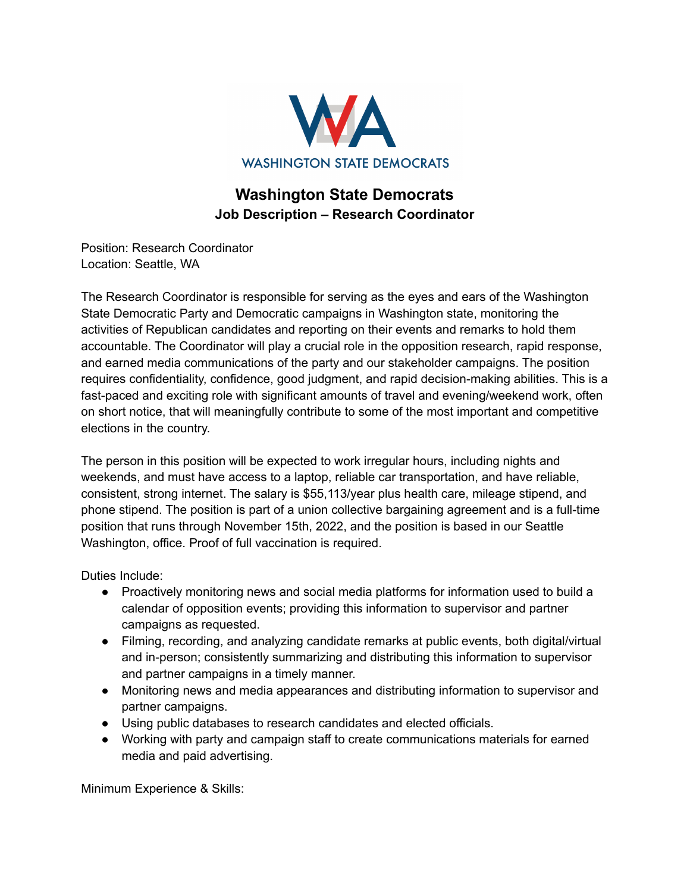

## **Washington State Democrats Job Description – Research Coordinator**

Position: Research Coordinator Location: Seattle, WA

The Research Coordinator is responsible for serving as the eyes and ears of the Washington State Democratic Party and Democratic campaigns in Washington state, monitoring the activities of Republican candidates and reporting on their events and remarks to hold them accountable. The Coordinator will play a crucial role in the opposition research, rapid response, and earned media communications of the party and our stakeholder campaigns. The position requires confidentiality, confidence, good judgment, and rapid decision-making abilities. This is a fast-paced and exciting role with significant amounts of travel and evening/weekend work, often on short notice, that will meaningfully contribute to some of the most important and competitive elections in the country.

The person in this position will be expected to work irregular hours, including nights and weekends, and must have access to a laptop, reliable car transportation, and have reliable, consistent, strong internet. The salary is \$55,113/year plus health care, mileage stipend, and phone stipend. The position is part of a union collective bargaining agreement and is a full-time position that runs through November 15th, 2022, and the position is based in our Seattle Washington, office. Proof of full vaccination is required.

Duties Include:

- Proactively monitoring news and social media platforms for information used to build a calendar of opposition events; providing this information to supervisor and partner campaigns as requested.
- Filming, recording, and analyzing candidate remarks at public events, both digital/virtual and in-person; consistently summarizing and distributing this information to supervisor and partner campaigns in a timely manner.
- Monitoring news and media appearances and distributing information to supervisor and partner campaigns.
- Using public databases to research candidates and elected officials.
- Working with party and campaign staff to create communications materials for earned media and paid advertising.

Minimum Experience & Skills: